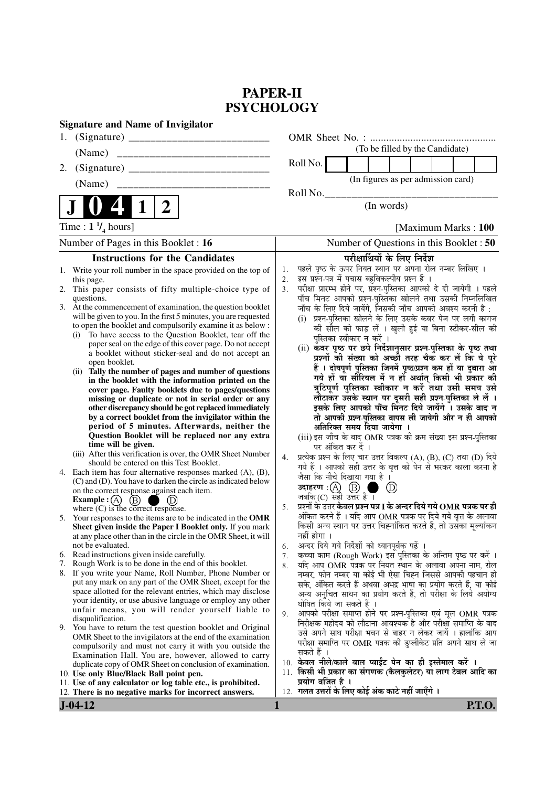# **PAPER-II PSYCHOLOGY**

| <b>Signature and Name of Invigilator</b>                                                                                                                                                                                                                                                                                                                                                                                                                                                                                                                                     |                                                                                                                                                                                                                                                                                                                                                                                                                                                                                                                                                                                                           |
|------------------------------------------------------------------------------------------------------------------------------------------------------------------------------------------------------------------------------------------------------------------------------------------------------------------------------------------------------------------------------------------------------------------------------------------------------------------------------------------------------------------------------------------------------------------------------|-----------------------------------------------------------------------------------------------------------------------------------------------------------------------------------------------------------------------------------------------------------------------------------------------------------------------------------------------------------------------------------------------------------------------------------------------------------------------------------------------------------------------------------------------------------------------------------------------------------|
|                                                                                                                                                                                                                                                                                                                                                                                                                                                                                                                                                                              |                                                                                                                                                                                                                                                                                                                                                                                                                                                                                                                                                                                                           |
| (Name)                                                                                                                                                                                                                                                                                                                                                                                                                                                                                                                                                                       | (To be filled by the Candidate)                                                                                                                                                                                                                                                                                                                                                                                                                                                                                                                                                                           |
| 2.                                                                                                                                                                                                                                                                                                                                                                                                                                                                                                                                                                           | Roll No.                                                                                                                                                                                                                                                                                                                                                                                                                                                                                                                                                                                                  |
| (Name)<br>_________________________________                                                                                                                                                                                                                                                                                                                                                                                                                                                                                                                                  | (In figures as per admission card)                                                                                                                                                                                                                                                                                                                                                                                                                                                                                                                                                                        |
|                                                                                                                                                                                                                                                                                                                                                                                                                                                                                                                                                                              | Roll No.                                                                                                                                                                                                                                                                                                                                                                                                                                                                                                                                                                                                  |
| $\boldsymbol{2}$<br>1                                                                                                                                                                                                                                                                                                                                                                                                                                                                                                                                                        | (In words)                                                                                                                                                                                                                                                                                                                                                                                                                                                                                                                                                                                                |
| Time : $1 \frac{1}{4}$ hours]                                                                                                                                                                                                                                                                                                                                                                                                                                                                                                                                                | [Maximum Marks: 100]                                                                                                                                                                                                                                                                                                                                                                                                                                                                                                                                                                                      |
| Number of Pages in this Booklet : 16                                                                                                                                                                                                                                                                                                                                                                                                                                                                                                                                         | Number of Questions in this Booklet : 50                                                                                                                                                                                                                                                                                                                                                                                                                                                                                                                                                                  |
| <b>Instructions for the Candidates</b>                                                                                                                                                                                                                                                                                                                                                                                                                                                                                                                                       | परीक्षार्थियों के लिए निर्देश                                                                                                                                                                                                                                                                                                                                                                                                                                                                                                                                                                             |
| 1. Write your roll number in the space provided on the top of<br>this page.<br>2. This paper consists of fifty multiple-choice type of<br>questions.<br>3. At the commencement of examination, the question booklet<br>will be given to you. In the first 5 minutes, you are requested<br>to open the booklet and compulsorily examine it as below :<br>To have access to the Question Booklet, tear off the<br>(i)<br>paper seal on the edge of this cover page. Do not accept<br>a booklet without sticker-seal and do not accept an<br>open booklet.                      | पहले पृष्ठ के ऊपर नियत स्थान पर अपना रोल नम्बर लिखिए ।<br>1.<br>इस प्रश्न-पत्र में पचास बहुविकल्पीय प्रश्न हैं ।<br>2.<br>परीक्षा प्रारम्भ होने पर, प्रश्न-पुस्तिका आपको दे दी जायेगी । पहले<br>3.<br>पाँच मिनट आपको प्रश्न-पुस्तिका खोलने तथा उसकी निम्नलिखित<br>जाँच के लिए दिये जायेंगे, जिसकी जाँच आपको अवश्य करनी है :<br>(i) प्रश्न-पुस्तिका खोलने के लिए उसके कवर पेज पर लगी कागज<br>की सील को फाड़ लें । खुली हुई या बिना स्टीकर-सील की<br>पुस्तिका स्वीकार न करें ।<br>(ii) कवर पृष्ठ पर छपे निर्देशानुसार प्रश्न-पुस्तिका के पृष्ठ तथा<br>प्रश्नों की संख्या को अच्छी तरह चैक कर लें कि ये पूरे |
| (ii) Tally the number of pages and number of questions<br>in the booklet with the information printed on the<br>cover page. Faulty booklets due to pages/questions<br>missing or duplicate or not in serial order or any<br>other discrepancy should be got replaced immediately<br>by a correct booklet from the invigilator within the<br>period of 5 minutes. Afterwards, neither the<br>Question Booklet will be replaced nor any extra<br>time will be given.<br>(iii) After this verification is over, the OMR Sheet Number<br>should be entered on this Test Booklet. | हैं । दोषपूर्ण पुस्तिका जिनमें पृष्ठ/प्रश्न कम हों या दुबारा आ<br>गये हों या सौरियल में न हों अर्थात् किसी भी प्रकार की<br>त्रुटिपूर्ण पुस्तिका स्वीकार न करें तथा उसी समय उसे<br>लौटाकर उसके स्थान पर दूसरी सही प्रश्न-पुस्तिका ले लें ।<br>इसके लिए आपको पाँच मिनट दिये जायेंगे । उसके बाद न<br>तो आपकी प्रश्न-पुस्तिका वापस ली जायेगी और न ही आपको<br>अतिरिक्त समय दिया जायेगा ।<br>(iii) इस जाँच के बाद OMR पत्रक की क्रम संख्या इस प्रश्न-पुस्तिका<br>पर अंकित कर दें ।<br>प्रत्येक प्रश्न के लिए चार उत्तर विकल्प (A), (B), (C) तथा (D) दिये<br>4.                                                  |
| 4. Each item has four alternative responses marked (A), (B),<br>(C) and (D). You have to darken the circle as indicated below<br>on the correct response against each item.<br><b>Example</b> : $(A)$<br>(B)                                                                                                                                                                                                                                                                                                                                                                 | गये हैं । आपको सही उत्तर के वृत्त को पेन से भरकर काला करना है<br>जैसा कि नीचे दिखाया गया है ।<br>$\circled{D}$<br>प्रश्नों के उत्तर <b>केवल प्रश्न पत्र I के अन्दर दिये गये OMR पत्रक पर ही</b><br>5.                                                                                                                                                                                                                                                                                                                                                                                                     |
| where $(C)$ is the correct response.<br>5. Your responses to the items are to be indicated in the OMR<br>Sheet given inside the Paper I Booklet only. If you mark<br>at any place other than in the circle in the OMR Sheet, it will<br>not be evaluated.                                                                                                                                                                                                                                                                                                                    | अंकित करने हैं । यदि आप OMR पत्रक पर दिये गये वृत्त के अलावा<br>किसी अन्य स्थान पर उत्तर चिह्नांकित करते हैं, तो उसका मूल्यांकन<br>नहीं होगा ।<br>अन्दर दिये गये निर्देशों को ध्यानपूर्वक पढ़ें ।<br>6.                                                                                                                                                                                                                                                                                                                                                                                                   |
| Read instructions given inside carefully.<br>6.                                                                                                                                                                                                                                                                                                                                                                                                                                                                                                                              | कच्चा काम (Rough Work) इस पुस्तिका के अन्तिम पृष्ठ पर करें ।<br>7.                                                                                                                                                                                                                                                                                                                                                                                                                                                                                                                                        |
| 7. Rough Work is to be done in the end of this booklet.<br>8. If you write your Name, Roll Number, Phone Number or<br>put any mark on any part of the OMR Sheet, except for the                                                                                                                                                                                                                                                                                                                                                                                              | यदि आप OMR पत्रक पर नियत स्थान के अलावा अपना नाम, रोल<br>8.<br>नम्बर, फोन नम्बर या कोई भी ऐसा चिह्न जिससे आपकी पहचान हो<br>सके, अंकित करते हैं अथवा अभद्र भाषा का प्रयोग करते हैं, या कोई                                                                                                                                                                                                                                                                                                                                                                                                                 |
| space allotted for the relevant entries, which may disclose<br>your identity, or use abusive language or employ any other<br>unfair means, you will render yourself liable to<br>disqualification.                                                                                                                                                                                                                                                                                                                                                                           | अन्य अनुचित साधन का प्रयोग करते हैं, तो परीक्षा के लिये अयोग्य<br>घोषित किये जा सकते हैं ।<br>आपको परीक्षा समाप्त होने पर प्रश्न-पुस्तिका एवं मूल OMR पत्रक<br>9.<br>निरीक्षक महोदय को लौटाना आवश्यक है और परीक्षा समाप्ति के बाद                                                                                                                                                                                                                                                                                                                                                                         |
| 9. You have to return the test question booklet and Original<br>OMR Sheet to the invigilators at the end of the examination<br>compulsorily and must not carry it with you outside the<br>Examination Hall. You are, however, allowed to carry                                                                                                                                                                                                                                                                                                                               | उसे अपने साथ परीक्षा भवन से बाहर न लेकर जायें । हालांकि आप<br>परीक्षा समाप्ति पर OMR पत्रक की डुप्लीकेट प्रति अपने साथ ले जा<br>सकते हैं ।                                                                                                                                                                                                                                                                                                                                                                                                                                                                |
| duplicate copy of OMR Sheet on conclusion of examination.                                                                                                                                                                                                                                                                                                                                                                                                                                                                                                                    | 10. केवल नीले/काले बाल प्वाईंट पेन का ही इस्तेमाल करें ।<br>11. किसी भी प्रकार का संगणक (कैलकुलेटर) या लाग टेबल आदि का                                                                                                                                                                                                                                                                                                                                                                                                                                                                                    |
| 10. Use only Blue/Black Ball point pen.<br>11. Use of any calculator or log table etc., is prohibited.                                                                                                                                                                                                                                                                                                                                                                                                                                                                       | प्रयोग वर्जित है ।                                                                                                                                                                                                                                                                                                                                                                                                                                                                                                                                                                                        |
| 12. There is no negative marks for incorrect answers.                                                                                                                                                                                                                                                                                                                                                                                                                                                                                                                        | 12. गलत उत्तरों के लिए कोई अंक काटे नहीं जाएँगे ।                                                                                                                                                                                                                                                                                                                                                                                                                                                                                                                                                         |
| $J-04-12$                                                                                                                                                                                                                                                                                                                                                                                                                                                                                                                                                                    | 1<br><b>P.T.O.</b>                                                                                                                                                                                                                                                                                                                                                                                                                                                                                                                                                                                        |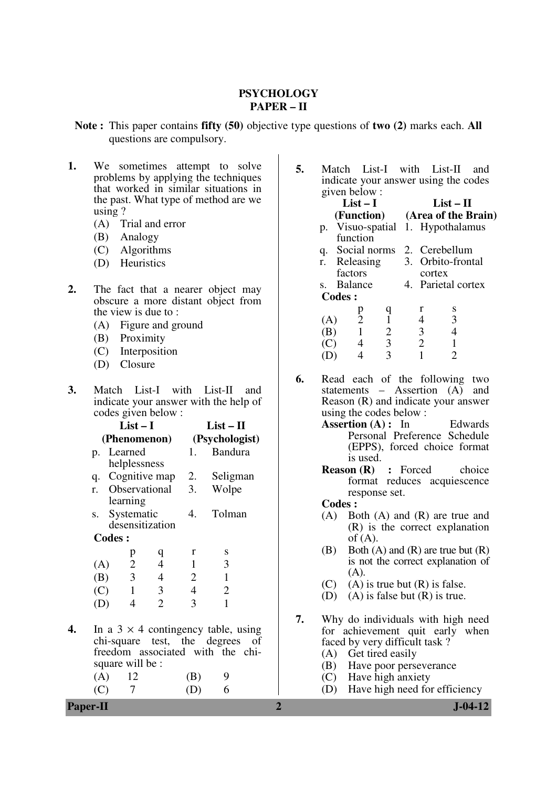## **PSYCHOLOGY PAPER – II**

**Note :** This paper contains **fifty (50)** objective type questions of **two (2)** marks each. **All**  questions are compulsory.

- 1. We sometimes attempt to solve problems by applying the techniques that worked in similar situations in the past. What type of method are we using ?
	- (A) Trial and error
	- (B) Analogy
	- (C) Algorithms
	- (D) Heuristics
- **2.** The fact that a nearer object may obscure a more distant object from the view is due to :
	- (A) Figure and ground
	- (B) Proximity
	- (C) Interposition
	- (D) Closure
- **3.** Match List-I with List-II and indicate your answer with the help of codes given below :

|    |              | $List-I$      |                             |                                                                                                                   |                | $List-II$      |  |  |  |
|----|--------------|---------------|-----------------------------|-------------------------------------------------------------------------------------------------------------------|----------------|----------------|--|--|--|
|    | (Phenomenon) |               |                             |                                                                                                                   | (Psychologist) |                |  |  |  |
|    | p.           |               | Learned<br>helplessness     |                                                                                                                   | 1.             | <b>Bandura</b> |  |  |  |
|    |              |               |                             | q. Cognitive map 2.                                                                                               |                | Seligman       |  |  |  |
|    |              |               | learning                    | r. Observational                                                                                                  | 3.             | Wolpe          |  |  |  |
|    | S.           |               | Systematic                  | desensitization                                                                                                   | 4.             | Tolman         |  |  |  |
|    |              | <b>Codes:</b> |                             |                                                                                                                   |                |                |  |  |  |
|    |              |               | p                           | q                                                                                                                 | r              | S              |  |  |  |
|    | (A)          |               | $\overline{2}$              | $\overline{4}$                                                                                                    | $\mathbf{1}$   | 3              |  |  |  |
|    | (B)          |               | $\overline{3}$              | $\overline{4}$                                                                                                    | 2              | $\mathbf{1}$   |  |  |  |
|    | (C)          |               | $\overline{1}$              | $\mathfrak{Z}$                                                                                                    | $\overline{4}$ | $\overline{2}$ |  |  |  |
|    | (D)          |               | 4                           | $\overline{2}$                                                                                                    | 3              | 1              |  |  |  |
| 4. | (A)<br>(C)   |               | square will be :<br>12<br>7 | In a $3 \times 4$ contingency table, using<br>chi-square test, the degrees of<br>freedom associated with the chi- | (B)<br>(D)     | 6              |  |  |  |
|    |              |               |                             |                                                                                                                   |                |                |  |  |  |

**5.** Match List-I with List-II and indicate your answer using the codes given below :

|     | $List-I$                   |                |                                |                | $List-II$                     |
|-----|----------------------------|----------------|--------------------------------|----------------|-------------------------------|
|     |                            |                | (Function) (Area of the Brain) |                |                               |
| p.  |                            |                |                                |                | Visuo-spatial 1. Hypothalamus |
|     | function                   |                |                                |                |                               |
| q.  | Social norms 2. Cerebellum |                |                                |                |                               |
|     | r. Releasing               |                |                                |                | 3. Orbito-frontal             |
|     | factors                    |                |                                | cortex         |                               |
|     | s. Balance                 |                |                                |                | 4. Parietal cortex            |
|     | <b>Codes:</b>              |                |                                |                |                               |
|     | р                          | q              |                                | r              | S                             |
| (A) | $\overline{2}$             | $\mathbf{1}$   |                                | 4              | 3                             |
| (B) | $\mathbf{1}$               | $\overline{2}$ |                                | 3 <sup>1</sup> |                               |
|     |                            | 3 <sup>1</sup> |                                | $\overline{2}$ |                               |
|     |                            |                |                                |                |                               |
|     |                            |                |                                |                |                               |

- **6.** Read each of the following two statements – Assertion (A) and Reason (R) and indicate your answer using the codes below :
	- Assertion (A) : In Edwards Personal Preference Schedule (EPPS), forced choice format is used.
	- **Reason (R) :** Forced choice format reduces acquiescence response set.

**Codes :**<br>(A) **B**<sup>(</sup>

- (A) Both (A) and (R) are true and (R) is the correct explanation  $of (A)$ .
- (B) Both  $(A)$  and  $(R)$  are true but  $(R)$ is not the correct explanation of  $(A).$
- (C) (A) is true but  $(R)$  is false.
- (D) (A) is false but (R) is true.
- **7.** Why do individuals with high need for achievement quit early when faced by very difficult task ?
	- (A) Get tired easily<br>(B) Have poor person
	- Have poor perseverance
	- (C) Have high anxiety
	- (D) Have high need for efficiency

## **Paper-II 2 J-04-12**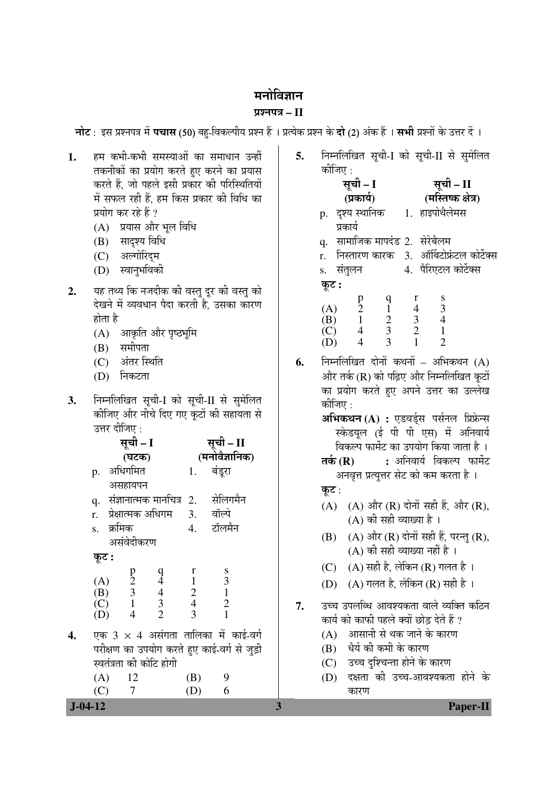# मनोविज्ञान

# ¯ÖÏ¿®Ö¯Ö¡Ö **– II**

<mark>नोट</mark> : इस प्रश्नपत्र में **पचास** (50) बहु-विकल्पीय प्रश्न हैं । प्रत्येक प्रश्न के **दो** (2) अंक हैं । **सभी** प्रश्नों के उत्तर दें ।

- 1. Eम कभी-कभी समस्याओं का समाधान उन्हीं तकनीकों का प्रयोग करते हुए करने का प्रयास करते हैं. जो पहले इसी प्रकार की परिस्थितियों में सफल रही हैं. हम किस प्रकार की विधि का प्रयोग कर रहे हैं ?
	- (A) प्रयास और भल विधि
	- (B) सादश्य विधि
	- (C) अल्गोरिदम
	- (D) स्वानुभविकी
- 2. यह तथ्य कि नजदीक की वस्तु दूर की वस्तु को देखने में व्यवधान पैदा करती है. उसका कारण होता है
	- $(A)$  आकृति और पृष्ठभमि
	- $(B)$  समीपता
	- (C) अंतर स्थिति
	- (D) निकटता
- 3. निम्नलिखित सूची-I को सूची-II से सुमेलित कीजिए और नीचे दिए गए कटों की सहायता से उत्तर दीजिए:

|    |                       |        | सूची – I                                        |                                                 |                                       | सूची – II                                   |  |
|----|-----------------------|--------|-------------------------------------------------|-------------------------------------------------|---------------------------------------|---------------------------------------------|--|
|    |                       |        | (घटक)                                           |                                                 |                                       | (मनोवैज्ञानिक)                              |  |
|    | p.                    |        | अधिगमित                                         |                                                 | 1.                                    | बंडूरा                                      |  |
|    |                       |        | असहायपन                                         |                                                 |                                       |                                             |  |
|    |                       |        |                                                 |                                                 |                                       | q. संज्ञानात्मक मानचित्र 2. सेलिगमैन        |  |
|    |                       |        |                                                 | r.   प्रेक्षात्मक अधिगम                         | 3. वॉल्पे                             |                                             |  |
|    | S.                    | क्रमिक |                                                 |                                                 |                                       | 4. टॉलमैन                                   |  |
|    |                       |        | असंवेदीकरण                                      |                                                 |                                       |                                             |  |
|    | कूट :                 |        |                                                 |                                                 |                                       |                                             |  |
|    |                       |        |                                                 | $\begin{array}{c} q \\ 4 \\ 4 \\ 3 \end{array}$ | $\bf r$                               | $rac{8}{3}$                                 |  |
|    | $(A)$<br>$(B)$        |        | $\begin{array}{c} p \\ 2 \\ 3 \\ 1 \end{array}$ |                                                 | $\frac{1}{\sqrt{2}}$<br>$\frac{1}{2}$ | $\mathbf{1}$                                |  |
|    |                       |        |                                                 |                                                 |                                       | $\overline{2}$                              |  |
|    | $\overline{C}$<br>(D) |        | $\overline{4}$                                  | $\overline{2}$                                  | 3                                     | $\mathbf{1}$                                |  |
|    |                       |        |                                                 |                                                 |                                       |                                             |  |
| 4. |                       |        |                                                 |                                                 |                                       | एक 3 $\times$ 4 असंगता तालिका में काई-वर्ग  |  |
|    |                       |        |                                                 |                                                 |                                       | परीक्षण का उपयोग करते हुए काई-वर्ग से जुड़ी |  |
|    |                       |        |                                                 | स्वतंत्रता की कोटि होगी                         |                                       |                                             |  |
|    | (A)                   |        | - 12                                            |                                                 | (B)                                   | 9                                           |  |

(C) 7 (D) 6

| 5. | निम्नलिखित सूची-I को सूची-II से सुमेलित |  |  |
|----|-----------------------------------------|--|--|
|    | कोजिए :                                 |  |  |

|       | सूची – I                                  | सूची – II                                      |               |                                             |  |
|-------|-------------------------------------------|------------------------------------------------|---------------|---------------------------------------------|--|
|       | (प्रकार्य)                                |                                                |               | (मस्तिष्क क्षेत्र)                          |  |
|       |                                           |                                                |               | p. दृश्य स्थानिक 1. हाइपोथैलेमस             |  |
|       | प्रकार्य                                  |                                                |               |                                             |  |
| q.    | सामाजिक मापदंड 2. सेरेबैलम                |                                                |               |                                             |  |
|       |                                           |                                                |               | r. निस्तारण कारक 3. ऑर्बिटोफ्रंटल कोर्टेक्स |  |
|       | s. संतुलन                                 |                                                |               | 4. पैरिएटल कोर्टेक्स                        |  |
| कूट : |                                           |                                                |               |                                             |  |
|       | $\begin{matrix} p \\ 2 \\ 1 \end{matrix}$ | $\begin{smallmatrix} 0 \\ 1 \end{smallmatrix}$ | r             |                                             |  |
| (A)   |                                           |                                                | $\frac{4}{3}$ | $\frac{8}{3}$                               |  |
| (B)   |                                           | $\overline{2}$                                 |               |                                             |  |
| (C)   | $\frac{4}{1}$                             | $\frac{3}{3}$                                  | 2             |                                             |  |
|       | 4                                         |                                                |               | 2                                           |  |
|       |                                           |                                                |               |                                             |  |

**6.** निम्नलिखित दोनों कथनों – अभिकथन (A) और तर्क (R) को पढ़िए और निम्नलिखित कुटों का प्रयोग करते हुए अपने उत्तर का उल्लेख कोजिए $\cdot$ **अभिकथन (A) :** एडवर्डस पर्सनल प्रिफ्रेन्स स्केडयुल (ई पी पी एस) में अनिवार्य विकल्प फार्मेट का उपयोग किया जाता है ।

- **तर्क (R) :** अनिवार्य विकल्प फार्मेट अनवृत्त प्रत्युत्तर सेट को कम करता है।
- कूट $:$
- (A)  $(A)$  और  $(R)$  दोनों सही हैं, और  $(R)$ ,
- $(A)$  की सही व्याख्या है।  $(B)$   $(A)$  और  $(R)$  दोनों सही हैं, परन्तु  $(R)$ ,
	- $(A)$  की सही व्याख्या नहीं है ।
- (C)  $(A)$  सही है, लेकिन (R) गलत है।
- (D)  $(A)$  गलत है, लेकिन (R) सही है।

**7.** उच्च उपलब्धि आवश्यकता वाले व्यक्ति कठिन कार्य को काफी पहले क्यों छोड़ देते हैं ?  $(A)$  । आसानी से थक जाने के कारण

- (B) धैर्य की कमी के कारण
- (C) उच्च दश्चिन्ता होने के कारण
- (D) दक्षता की उच्च-आवश्यकता होने के कारण

# **J-04-12 3 Paper-II**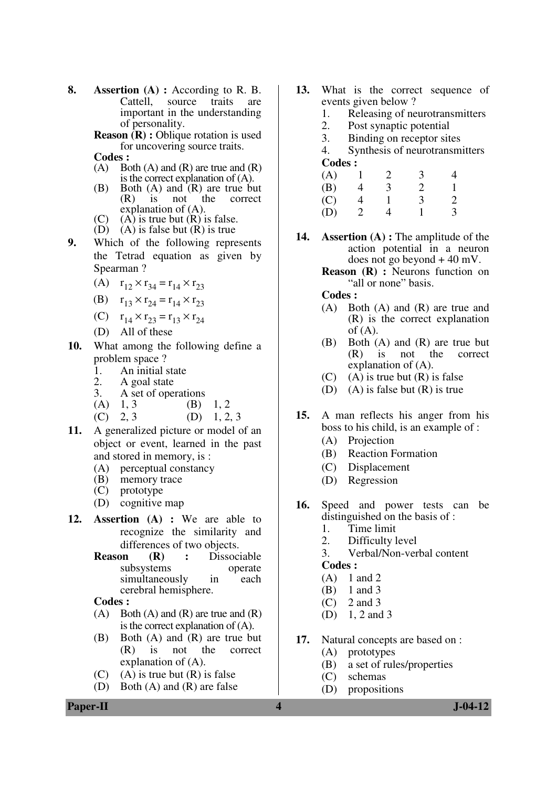- **8. Assertion (A) :** According to R. B. Cattell, source traits are important in the understanding of personality.
	- **Reason (R) :** Oblique rotation is used for uncovering source traits.

Codes :<br>
(A) Bo

- Both  $(A)$  and  $(R)$  are true and  $(R)$ is the correct explanation of (A).
- (B) Both (A) and (R) are true but<br>(R) is not the correct  $(R)$  is not explanation of (A).
- (C) (A) is true but  $(R)$  is false.
- $(D)$   $(A)$  is false but  $(R)$  is true
- **9.** Which of the following represents the Tetrad equation as given by Spearman ?
	- (A)  $r_{12} \times r_{34} = r_{14} \times r_{23}$
	- (B)  $r_{13} \times r_{24} = r_{14} \times r_{23}$
	- (C)  $r_{14} \times r_{23} = r_{13} \times r_{24}$
	- (D) All of these
- **10.** What among the following define a problem space ?
	- 1. An initial state<br>2. A goal state
	- 2. A goal state<br>3. A set of ope
	- A set of operations<br>1, 3 (B) 1. 2
	- $(A)$  1, 3 (B)
	- $(C)$  2, 3  $(D)$  1, 2, 3
- **11.** A generalized picture or model of an object or event, learned in the past and stored in memory, is :
	- (A) perceptual constancy
	- (B) memory trace
	- (C) prototype
	- (D) cognitive map
- **12. Assertion (A) :** We are able to recognize the similarity and
	- differences of two objects.<br>Reason  $(R)$ : Dissoc **(R)** : Dissociable<br>stems operate subsystems operate<br>simultaneously in each simultaneously in cerebral hemisphere.

 **Codes :** 

- $(A)$  Both  $(A)$  and  $(R)$  are true and  $(R)$ is the correct explanation of (A).
- (B) Both (A) and (R) are true but (R) is not the correct explanation of (A).
- $(C)$  (A) is true but  $(R)$  is false
- (D) Both (A) and (R) are false
- **13.** What is the correct sequence of events given below ?
	- 1. Releasing of neurotransmitters
	- 2. Post synaptic potential<br>3. Binding on receptor sit
	- 3. Binding on receptor sites
	- 4. Synthesis of neurotransmitters **Codes :**

| (A) |              | $\mathcal{D}$ | 3 |                             |
|-----|--------------|---------------|---|-----------------------------|
| (B) |              | 3             | 2 |                             |
| (C) |              |               | 3 | $\mathcal{D}_{\mathcal{L}}$ |
| (D) | $\mathbf{2}$ |               |   | 3                           |

- **14. Assertion (A) :** The amplitude of the action potential in a neuron does not go beyond + 40 mV.
	- **Reason (R) :** Neurons function on "all or none" basis.

 **Codes :** 

- (A) Both (A) and (R) are true and (R) is the correct explanation of  $(A)$ .
- (B) Both (A) and (R) are true but (R) is not the correct explanation of (A).
- $(C)$  (A) is true but  $(R)$  is false
- (D) (A) is false but (R) is true
- **15.** A man reflects his anger from his boss to his child, is an example of :
	- (A) Projection
	- (B) Reaction Formation
	- (C) Displacement
	- (D) Regression
- **16.** Speed and power tests can be distinguished on the basis of :
	- 1. Time limit
	- 2. Difficulty level
	- 3. Verbal/Non-verbal content

#### **Codes :**

- $(A)$  1 and 2
- (B) 1 and 3
- $(C)$  2 and 3
- (D) 1, 2 and 3
- **17.** Natural concepts are based on :
	- (A) prototypes
		- (B) a set of rules/properties
		- (C) schemas
	- (D) propositions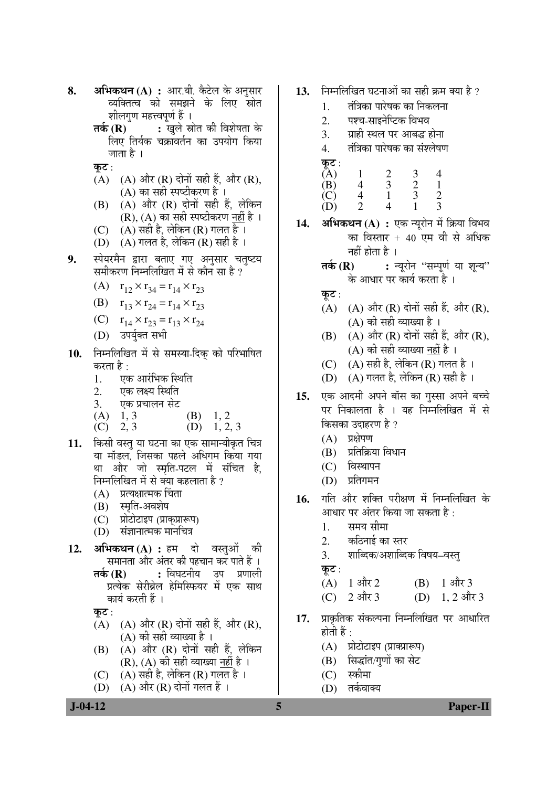- **8. अभिकथन (A) :** आर.बी. कैटेल के अनसार व्यक्तित्व को समझने के लिए स्रोत शीलगण महत्त्वपूर्ण हैं ।
	- **तर्क (R) :** खुले स्रोत की विशेषता के लिए तिर्यक चक्राँवर्तन का उपयोग किया जाता है ।
	- कट $:$
	- $(A)$   $(A)$  और  $(R)$  दोनों सही हैं, और  $(R)$ , (A) का सही स्पष्टीकरण है $\perp$
	- $(B)$   $(A)$  और  $(R)$  दोनों सही हैं. लेकिन (R),  $(A)$  का सही स्पष्टीकरण नहीं है ।
	- (C)  $(A)$  सही है, लेकिन (R) गलत है।
	- (D)  $(A)$  गलत है, लेकिन  $(R)$  सही है।
- 9. स्पेयरमैन द्वारा बताए गए अनुसार चतुष्टय समीकरण निम्नलिखित में से कौन सा है ?
	- (A)  $r_{12} \times r_{34} = r_{14} \times r_{23}$
	- (B)  $r_{13} \times r_{24} = r_{14} \times r_{23}$
	- (C)  $r_{14} \times r_{23} = r_{13} \times r_{24}$
	- (D) उपर्युक्त सभी
- 10. निम्नलिखित में से समस्या-दिक को परिभाषित करता है :
	- 1. एक आरंभिक स्थिति
	- 2. एक लक्ष्य स्थिति
	- 3. एक प्रचालन सेट
	- (A)  $1, 3$  (B)  $1, 2$ <br>(C)  $2, 3$  (D)  $1, 2$
	- (D)  $1, 2, 3$
- 11. किसी वस्त या घटना का एक सामान्यीकृत चित्र या मॉडल. जिसका पहले अधिगम किया गया था और जो स्मृति-पटल में संचित है. निम्नलिखित में से क्या कहलाता है ?
	- $(A)$  प्रत्यक्षात्मक चिंता
	- (B) स्मृति-अवशेष
	- (C) प्रोटोटाइप (प्राकप्रारूप)
	- $(D)$  संज्ञानात्मक मानचित्र
- **12. अभिकथन (A) :** हम दो वस्तुओं की समानता और अंतर की पहचान कर पाते हैं । **तर्क (R) :** विघटनीय उप प्रणाली प्रत्येक सेरीब्रेल हेमिस्फियर में एक साथ कार्य करती हैं ।

कूट:

- (A)  $(A)$  और (R) दोनों सही हैं, और (R), (A) की सही व्याख्या है ।
- $(B)$   $(A)$  और  $(R)$  दोनों सही हैं, लेकिन (R),  $(A)$  की सही व्याख्या नहीं है ।
- (C)  $(A)$  सही है, लेकिन (R) गलत है ।
- (D)  $(A)$  और  $(R)$  दोनों गलत हैं ।
- 13. Fital older and the bottle of the fact of the fact of the fact of the fact of the fact of the fact of the fa
	- 1. तंत्रिका पारेषक का निकलना
	- 2. पश्च-साइनेप्टिक विभव
	- 3. माही स्थल पर आबद्ध होना
	- 4. तंत्रिका पारेषक का संश्लेषण
	- कुट $:$
- $(A)$  1 2 3 4<br>  $(B)$  4 3 2 1<br>  $(C)$  4 1 3 2 (B) 4 3 2 1 (C) 4 1 3 2 (D) 2 4 1 3
- 14. **अभिकथन (A) :** एक न्यूरोन में क्रिया विभव का विस्तार + 40 एम वी से अधिक नहीं होता है $\perp$ 
	- **तर्क (R) :** न्यूरोन ''सम्पूर्ण या शून्य'' के आधार पर कार्य करता है ।
	- कट $:$
	- (A)  $(A)$  और (R) दोनों सही हैं, और (R), (A) की सही व्याख्या है ।
	- $(B)$   $(A)$  और  $(R)$  दोनों सही हैं, और  $(R)$ ,  $(A)$  की सही व्याख्या नहीं है ।
	- (C)  $(A)$  सही है, लेकिन (R) गलत है।
	- $(D)$   $(A)$  गलत है, लेकिन  $(R)$  सही है ।
- 15. एक आदमी अपने बॉस का गुस्सा अपने बच्चे पर निकालता है । यह निम्नलिखित में से किसका उदाहरण है ?
	- $(A)$  प्रक्षेपण
	- (B) प्रतिक्रिया विधान
	- $(C)$  विस्थापन
	- $(D)$  प्रतिगमन
- 16. गति और शक्ति परीक्षण में निम्नलिखित के आधार पर अंतर किया जा सकता है  $\cdot$ 
	- 1. समय सीमा
	- 2. कठिनाई का स्तर
	- 3. शाब्दिक/अशाब्दिक विषय–वस्त

कट $:$ 

- (A)  $1 \text{ and } 2$  (B)  $1 \text{ and } 3$
- (C)  $2 \text{ and } 3$  (D)  $1, 2 \text{ and } 3$
- 17. प्राकृतिक संकल्पना निम्नलिखित पर आधारित होती हैं :
	- (A) प्रोटोटाइप (प्राक्प्रारूप)
	- (B) सिद्धांत/गणों का सेट
	- (C) स्कीमा
	- (D) तर्कवाक्य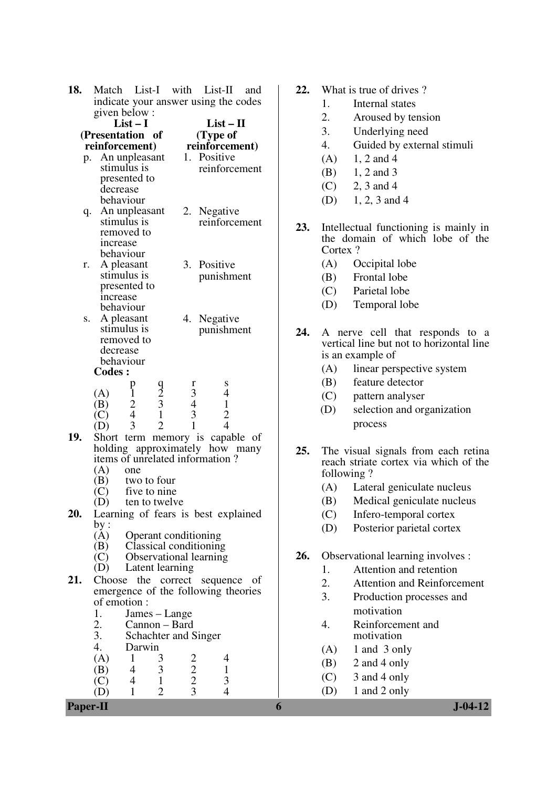| 18. | Match                       |                             |                     |                                            | List-I with List-II                                                | and |  |
|-----|-----------------------------|-----------------------------|---------------------|--------------------------------------------|--------------------------------------------------------------------|-----|--|
|     |                             |                             |                     | indicate your answer using the codes       |                                                                    |     |  |
|     | given below:                |                             |                     |                                            |                                                                    |     |  |
|     | $List-I$                    |                             |                     | $List - II$                                |                                                                    |     |  |
|     | (Presentation of            |                             |                     |                                            | (Type of                                                           |     |  |
|     | reinforcement)              |                             |                     |                                            | reinforcement)                                                     |     |  |
|     | p.                          |                             |                     |                                            | An unpleasant 1. Positive                                          |     |  |
|     | stimulus is                 |                             |                     |                                            | reinforcement                                                      |     |  |
|     | presented to                |                             |                     |                                            |                                                                    |     |  |
|     | decrease                    |                             |                     |                                            |                                                                    |     |  |
|     | behaviour                   |                             |                     |                                            |                                                                    |     |  |
|     | q. An unpleasant            |                             |                     |                                            | 2. Negative                                                        |     |  |
|     | stimulus is                 |                             |                     |                                            | reinforcement                                                      |     |  |
|     | removed to                  |                             |                     |                                            |                                                                    |     |  |
|     | <i>ncrease</i><br>behaviour |                             |                     |                                            |                                                                    |     |  |
| r.  | A pleasant                  |                             |                     |                                            | 3. Positive                                                        |     |  |
|     | stimulus is                 |                             |                     |                                            | punishment                                                         |     |  |
|     | presented to                |                             |                     |                                            |                                                                    |     |  |
|     | increase                    |                             |                     |                                            |                                                                    |     |  |
|     | behaviour                   |                             |                     |                                            |                                                                    |     |  |
| S.  | A pleasant                  |                             |                     | 4.                                         | Negative                                                           |     |  |
|     | stimulus is                 |                             |                     |                                            | punishment                                                         |     |  |
|     | removed to                  |                             |                     |                                            |                                                                    |     |  |
|     | decrease                    |                             |                     |                                            |                                                                    |     |  |
|     | behaviour                   |                             |                     |                                            |                                                                    |     |  |
|     | <b>Codes:</b>               |                             |                     |                                            |                                                                    |     |  |
|     |                             | p                           |                     | r                                          | S                                                                  |     |  |
|     | (A)                         | $\mathbf{1}$                | $\frac{9}{2}$ 3 1 2 | $\begin{array}{c} 3 \\ 4 \\ 3 \end{array}$ | 4                                                                  |     |  |
|     | (B)                         | $\frac{2}{4}$               |                     |                                            | $\mathbf{1}$                                                       |     |  |
|     | (C)                         | 3                           |                     | $\mathbf{1}$                               | $\frac{2}{4}$                                                      |     |  |
|     | (D)                         |                             |                     |                                            |                                                                    |     |  |
| 19. |                             |                             |                     |                                            | Short term memory is capable of                                    |     |  |
|     |                             |                             |                     |                                            | holding approximately how many<br>items of unrelated information ? |     |  |
|     | (A)                         | one                         |                     |                                            |                                                                    |     |  |
|     | (B)                         | two to four                 |                     |                                            |                                                                    |     |  |
|     | (C)                         | five to nine                |                     |                                            |                                                                    |     |  |
|     | (D)                         | ten to twelve               |                     |                                            |                                                                    |     |  |
| 20. |                             |                             |                     |                                            | Learning of fears is best explained                                |     |  |
|     | by:                         |                             |                     |                                            |                                                                    |     |  |
|     | (A)                         | <b>Operant conditioning</b> |                     |                                            |                                                                    |     |  |
|     | (B)                         |                             |                     |                                            | <b>Classical conditioning</b>                                      |     |  |
|     | (C)                         |                             |                     |                                            | Observational learning                                             |     |  |
|     |                             | Latent learning             |                     |                                            |                                                                    |     |  |
| 21. | Choose                      |                             |                     |                                            | the correct sequence of                                            |     |  |
|     |                             |                             |                     |                                            | emergence of the following theories                                |     |  |
|     | of emotion :                |                             |                     |                                            |                                                                    |     |  |
|     | 1.                          | James – Lange               |                     |                                            |                                                                    |     |  |
|     | 2.                          | Cannon - Bard               |                     |                                            |                                                                    |     |  |
|     | 3.                          | Schachter and Singer        |                     |                                            |                                                                    |     |  |
|     | 4.                          | Darwin                      |                     |                                            |                                                                    |     |  |
|     | (A)                         | 1                           | 3                   |                                            | 4                                                                  |     |  |
|     | (B)                         | 4                           | 3                   |                                            | 1                                                                  |     |  |
|     | $\left( \mathrm{C}\right)$  | $\overline{4}$              | $\mathbf{1}$        | $\frac{2}{2}$<br>$\frac{2}{3}$             | 3                                                                  |     |  |
|     |                             | 1                           | $\overline{2}$      |                                            | 4                                                                  |     |  |

- **22.** What is true of drives ?
	- 1. Internal states
	- 2. Aroused by tension
	- 3. Underlying need
	- 4. Guided by external stimuli
	- $(A)$  1, 2 and 4
	- $(B)$  1, 2 and 3
	- $(C)$  2, 3 and 4
	- (D) 1, 2, 3 and 4
- **23.** Intellectual functioning is mainly in the domain of which lobe of the Cortex ?
	- (A) Occipital lobe
	- (B) Frontal lobe
	- (C) Parietal lobe
	- (D) Temporal lobe
- **24.** A nerve cell that responds to a vertical line but not to horizontal line is an example of
	- (A) linear perspective system
	- (B) feature detector
	- (C) pattern analyser
	- (D) selection and organization process
- **25.** The visual signals from each retina reach striate cortex via which of the following ?
	- (A) Lateral geniculate nucleus
	- (B) Medical geniculate nucleus
	- (C) Infero-temporal cortex
	- (D) Posterior parietal cortex
- **26.** Observational learning involves :
	- 1. Attention and retention
	- 2. Attention and Reinforcement
	- 3. Production processes and motivation
	- 4. Reinforcement and motivation
	- $(A)$  1 and 3 only
	- (B) 2 and 4 only
	- $(C)$  3 and 4 only
	- (D) 1 and 2 only

**Paper-II 6 J-04-12**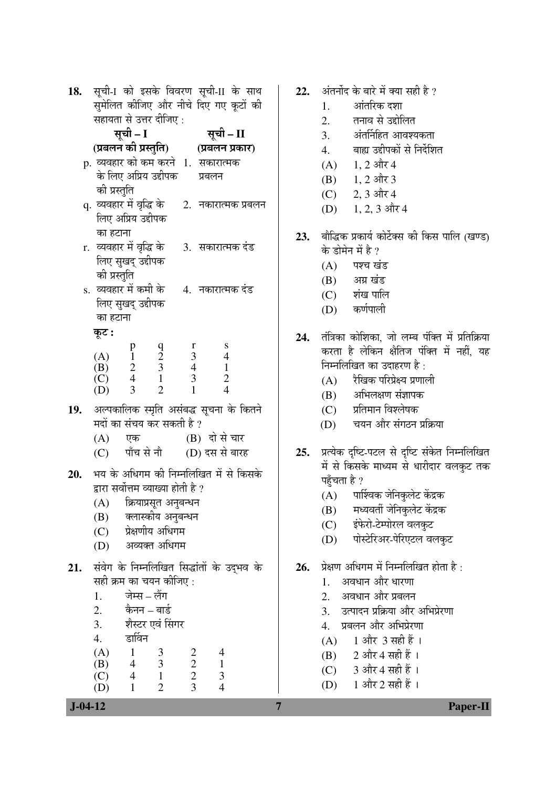| 18. |                             |                                                                  |                                                 |                                            | सूची-1 को इसके विवरण सूची-II के साथ             |  |  |  |
|-----|-----------------------------|------------------------------------------------------------------|-------------------------------------------------|--------------------------------------------|-------------------------------------------------|--|--|--|
|     |                             | सुमेलित कीजिए और नीचे दिए गए कूटों की<br>सहायता से उत्तर दीजिए : |                                                 |                                            |                                                 |  |  |  |
|     |                             |                                                                  |                                                 |                                            |                                                 |  |  |  |
|     | सूची - I<br>सूची – II       |                                                                  |                                                 |                                            |                                                 |  |  |  |
|     |                             |                                                                  |                                                 |                                            | (प्रबलन की प्रस्तुति)           (प्रबलन प्रकार) |  |  |  |
|     |                             |                                                                  |                                                 |                                            | p. व्यवहार को कम करने  1.  सकारात्मक            |  |  |  |
|     |                             | के लिए अप्रिय उद्दीपक                                            |                                                 |                                            | प्रबलन                                          |  |  |  |
|     | की प्रस्तुति                |                                                                  |                                                 |                                            |                                                 |  |  |  |
|     | q. व्यवहार में वृद्धि के    |                                                                  |                                                 |                                            | 2.   नकारात्मक प्रबलन                           |  |  |  |
|     |                             | लिए अप्रिय उद्दीपक                                               |                                                 |                                            |                                                 |  |  |  |
|     | का हटाना                    |                                                                  |                                                 |                                            |                                                 |  |  |  |
|     | r.  व्यवहार में वृद्धि के   |                                                                  |                                                 |                                            | 3. सकारात्मक दंड                                |  |  |  |
|     | की प्रस्तुति                | लिए सुखद् उद्दीपक                                                |                                                 |                                            |                                                 |  |  |  |
|     | s.  व्यवहार में कमी के      |                                                                  |                                                 |                                            | 4.  नकारात्मक दंड                               |  |  |  |
|     |                             | लिए सुखद् उद्दीपक                                                |                                                 |                                            |                                                 |  |  |  |
|     | का हटाना                    |                                                                  |                                                 |                                            |                                                 |  |  |  |
|     | कूट :                       |                                                                  |                                                 |                                            |                                                 |  |  |  |
|     |                             |                                                                  |                                                 | $\mathbf r$                                | ${\bf S}$                                       |  |  |  |
|     | (A)                         | $\begin{array}{c} \n p \\ \n 1 \\ \n 2 \\ \n 4 \n \end{array}$   | $\begin{array}{c} 9 \\ 2 \\ 3 \\ 1 \end{array}$ | $\mathfrak{Z}$                             | $\overline{4}$                                  |  |  |  |
|     | (B)<br>$\overline{C}$       |                                                                  |                                                 | $\overline{4}$<br>$\mathfrak{Z}$           | $\mathbf{1}$                                    |  |  |  |
|     | (D)                         | $\overline{3}$                                                   | $\overline{2}$                                  | 1                                          | $\frac{2}{4}$                                   |  |  |  |
|     |                             |                                                                  |                                                 |                                            | 19. अल्पकालिक स्मृति असंबद्ध सूचना के कितने     |  |  |  |
|     |                             | मदों का संचय कर सकती है ?                                        |                                                 |                                            |                                                 |  |  |  |
|     | (A)                         | एक                                                               |                                                 |                                            | (B) दो से चार                                   |  |  |  |
|     | (C)                         | पाँच से नौ                                                       |                                                 |                                            | (D) दस से बारह                                  |  |  |  |
|     |                             |                                                                  |                                                 |                                            |                                                 |  |  |  |
| 20. |                             |                                                                  |                                                 |                                            | भय के अधिगम की निम्नलिखित में से किसके          |  |  |  |
|     |                             | द्वारा सर्वोत्तम व्याख्या होती है ?                              |                                                 |                                            |                                                 |  |  |  |
|     |                             | (A) क्रियाप्रसूत अनुबन्धन                                        |                                                 |                                            |                                                 |  |  |  |
|     | (B)                         |                                                                  | क्लास्कीय अनुबन्धन<br>प्रेक्षणीय अधिगम          |                                            |                                                 |  |  |  |
|     | (C)<br>(D)                  |                                                                  | अव्यक्त अधिगम                                   |                                            |                                                 |  |  |  |
|     |                             |                                                                  |                                                 |                                            |                                                 |  |  |  |
| 21. |                             |                                                                  |                                                 |                                            | संवेग के निम्नलिखित सिद्धांतों के उद्भव के      |  |  |  |
|     |                             | सही क्रम का चयन कीजिए :                                          |                                                 |                                            |                                                 |  |  |  |
|     | 1.                          | जेम्स – लैंग                                                     |                                                 |                                            |                                                 |  |  |  |
|     | 2.                          |                                                                  | कैनन – बार्ड                                    |                                            |                                                 |  |  |  |
|     | 3.                          |                                                                  | शैस्टर एवं सिंगर                                |                                            |                                                 |  |  |  |
|     | 4.                          | डार्विन                                                          |                                                 |                                            |                                                 |  |  |  |
|     | (A)<br>(B)                  | $\mathbf{1}$<br>$\overline{4}$                                   | $\frac{3}{3}$                                   |                                            | $\overline{\mathcal{A}}$<br>$\mathbf 1$         |  |  |  |
|     | $\left(\overline{C}\right)$ | $\overline{4}$                                                   | $\mathbf{1}$                                    | $\begin{array}{c} 2 \\ 2 \\ 3 \end{array}$ |                                                 |  |  |  |
|     | (D)                         | $\mathbf{1}$                                                     | $\overline{2}$                                  |                                            | $\frac{3}{4}$                                   |  |  |  |

22. ¥ÖÖÖ BÖÖ EÜ EÜ EÜ EÜ EÜ EÜ EÜ

- 1. †ÖÓŸÖ׸üÛú ¤ü¿ÖÖ
- 2. तनाव से उद्दोलित
- 3. अंतर्निहित आवश्यकता
- 4. बाह्य उद्दीपकों से निर्देशित
- $(A)$  1, 2 और 4
- $(B)$  1, 2 और 3
- (C) 2, 3 और 4
- $(D)$  1, 2, 3 और 4
- 23. बौद्धिक प्रकार्य कोर्टेक्स की किस पालि (खण्ड) के डोमेन में है ?
	- $(A)$  पश्च खंड
	- $(B)$   $\quad$   $\frac{3\pi}{3}$   $\frac{1}{2}\frac{1}{5}$
	- $(C)$  शंख पालि
	- (D) कर्णपाली
- 24. तंत्रिका कोशिका, जो लम्ब पंक्ति में प्रतिक्रिया करता है लेकिन क्षैतिज पंक्ति में नहीं, यह निम्नलिखित का उदाहरण है $\cdot$ 
	- $(A)$  रैखिक परिप्रेक्ष्य प्रणाली
	- $(B)$  अभिलक्षण संज्ञापक
	- (C) प्रतिमान विश्लेषक
	- (D) चयन और संगठन प्रक्रिया
- 25. प्रत्येक दृष्टि-पटल से दृष्टि संकेत निम्नलिखित में से किसके माध्यम से धारीदार वलकुट तक पहुँचता है ?
	- (A) पार्श्विक जेनिकुलेट केंद्रक
	- (B) मध्यवर्ती जेनिकुलेट केंद्रक
	- (C) इंफेरो-टेम्पोरल वलकुट
	- (D) पोस्टेरिअर-पेरिएटल वलकूट
- 26. प्रेक्षण अधिगम में निम्नलिखित होता है:
	- 1. अवधान और धारणा
	- 2. अवधान और प्रबलन
	- 3. उत्पादन प्रक्रिया और अभिप्रेरणा
	- 4. प्रबलन और अभिप्रेरणा
	- $(A)$  1 और 3 सही हैं।
	- $(B)$  2 और 4 सही हैं ।
	- (C) 3 और 4 सही हैं ।
	- (D)  $1 \text{ and } 2 \text{ and } \tilde{g}$  ।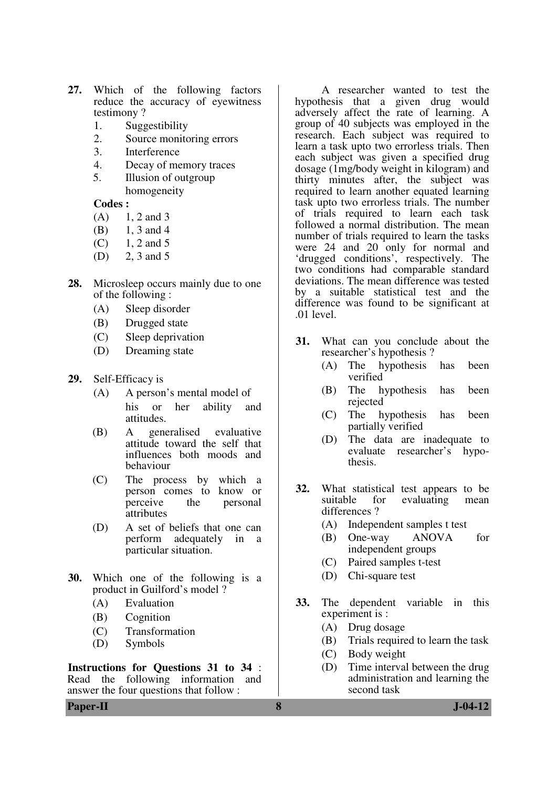- **27.** Which of the following factors reduce the accuracy of eyewitness testimony ?
	- 1. Suggestibility
	- 2. Source monitoring errors
	- 3. Interference
	- 4. Decay of memory traces
	- 5. Illusion of outgroup homogeneity

**Codes :**

- $(A)$  1, 2 and 3
- (B) 1, 3 and 4
- $(C)$  1, 2 and 5
- (D) 2, 3 and 5
- **28.** Microsleep occurs mainly due to one of the following :
	- (A) Sleep disorder
	- (B) Drugged state
	- (C) Sleep deprivation
	- (D) Dreaming state
- **29.** Self-Efficacy is
	- (A) A person's mental model of his or her ability and attitudes.
	- (B) A generalised evaluative attitude toward the self that influences both moods and behaviour
	- (C) The process by which a person comes to know or perceive the personal attributes
	- (D) A set of beliefs that one can perform adequately in a particular situation.
- **30.** Which one of the following is a product in Guilford's model ?
	- (A) Evaluation
	- (B) Cognition
	- (C) Transformation
	- (D) Symbols

**Instructions for Questions 31 to 34** : Read the following information and answer the four questions that follow :

hypothesis that a given drug would adversely affect the rate of learning. A group of 40 subjects was employed in the research. Each subject was required to learn a task upto two errorless trials. Then each subject was given a specified drug dosage (1mg/body weight in kilogram) and thirty minutes after, the subject was required to learn another equated learning task upto two errorless trials. The number of trials required to learn each task followed a normal distribution. The mean number of trials required to learn the tasks were 24 and 20 only for normal and 'drugged conditions', respectively. The two conditions had comparable standard deviations. The mean difference was tested by a suitable statistical test and the difference was found to be significant at .01 level.

A researcher wanted to test the

- **31.** What can you conclude about the researcher's hypothesis ?
	- (A) The hypothesis has been verified
	- (B) The hypothesis has been rejected
	- (C) The hypothesis has been partially verified
	- (D) The data are inadequate to evaluate researcher's hypothesis.
- **32.** What statistical test appears to be suitable for evaluating mean evaluating differences ?
	- (A) Independent samples t test
	- (B) One-way ANOVA for independent groups
	- (C) Paired samples t-test
	- (D) Chi-square test
- **33.** The dependent variable in this experiment is :
	- (A) Drug dosage
	- (B) Trials required to learn the task
	- (C) Body weight
	- (D) Time interval between the drug administration and learning the second task

**Paper-II 8 J-04-12**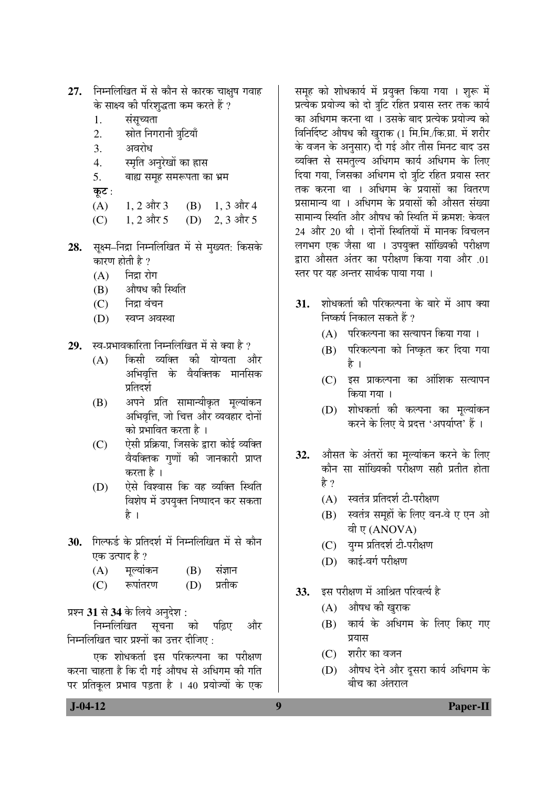| 27. |                | निम्नलिखित में से कौन से कारक चाक्षुष गवाह          |  |               |  |  |
|-----|----------------|-----------------------------------------------------|--|---------------|--|--|
|     |                | के साक्ष्य की परिशुद्धता कम करते हैं ?              |  |               |  |  |
|     | 1.             | संसूच्यता                                           |  |               |  |  |
|     | 2.             | स्रोत निगरानी त्रुटियाँ                             |  |               |  |  |
|     | 3.             | अवरोध                                               |  |               |  |  |
|     | 4.             | स्मृति अनुरेखों का हास                              |  |               |  |  |
|     | 5.             | बाह्य समूह समरूपता का भ्रम                          |  |               |  |  |
|     | कूट :          |                                                     |  |               |  |  |
|     | (A)            | $1, 2$ और 3                                         |  | (B) 1, 3 और 4 |  |  |
|     | (C)            | 1, 2 और 5                                           |  | (D) 2, 3 और 5 |  |  |
| 28. |                | सूक्ष्म–निद्रा निम्नलिखित में से मुख्यत: किसके      |  |               |  |  |
|     |                | कारण होती है ?                                      |  |               |  |  |
|     |                | (A) निद्रा रोग                                      |  |               |  |  |
|     |                | (B) औषध की स्थिति                                   |  |               |  |  |
|     |                | (C) निद्रा वंचन                                     |  |               |  |  |
|     |                | (D) स्वप्न अवस्था                                   |  |               |  |  |
| 29. |                | स्व-प्रभावकारिता निम्नलिखित में से क्या है ?        |  |               |  |  |
|     | (A)            | किसी व्यक्ति की योग्यता और                          |  |               |  |  |
|     |                | अभिवृत्ति के वैयक्तिक मानसिक                        |  |               |  |  |
|     |                | प्रतिदर्श                                           |  |               |  |  |
|     | (B)            | अपने प्रति सामान्यीकृत मूल्यांकन                    |  |               |  |  |
|     |                | अभिवृत्ति, जो चित्त और व्यवहार दोनों                |  |               |  |  |
|     |                | को प्रभावित करता है ।                               |  |               |  |  |
|     | (C)            | ऐसी प्रक्रिया, जिसके द्वारा कोई व्यक्ति             |  |               |  |  |
|     |                | वैयक्तिक गुणों की जानकारी प्राप्त                   |  |               |  |  |
|     |                | करता है ।                                           |  |               |  |  |
|     | (D)            | ऐसे विश्वास कि वह व्यक्ति स्थिति                    |  |               |  |  |
|     |                | विशेष में उपयुक्त निष्पादन कर सकता                  |  |               |  |  |
|     |                | है ।                                                |  |               |  |  |
|     |                | 30. गिल्फर्ड के प्रतिदर्श में निम्नलिखित में से कौन |  |               |  |  |
|     | एक उत्पाद है ? |                                                     |  |               |  |  |
|     |                | (A) मूल्यांकन                                       |  | (B) संज्ञान   |  |  |
|     |                | (C) रूपांतरण                                        |  | (D) प्रतीक    |  |  |
|     |                | प्रश्न 31 से 34 के लिये अनुदेश :                    |  |               |  |  |
|     |                | निम्नलिखित सूचना को पढ़िए और                        |  |               |  |  |
|     |                | निम्नलिखित चार प्रश्नों का उत्तर दीजिए:             |  |               |  |  |
|     |                | एक शोधकर्ता इस परिकल्पना का परीक्षण                 |  |               |  |  |
|     |                | करना चाहता है कि दी गई औषध से अधिगम की गति          |  |               |  |  |

करना चाहता है कि दी गई औषध से अधिगम की गति पर प्रतिकूल प्रभाव पड़ता है । 40 प्रयोज्यों के एक

समूह को शोधकार्य में प्रयुक्त किया गया । शुरू में प्रत्येक प्रयोज्य को दो त्रुटि रहित प्रयास स्तर तक कार्य का अधिगम करना था । उसके बाद प्रत्येक प्रयोज्य को विनिर्दिष्ट औषध की खुराक (1 मि.मि./कि.ग्रा. में शरीर के वजन के अनुसार) दी गई और तीस मिनट बाद उस व्यक्ति से समतुल्य अधिगम कार्य अधिगम के लिए दिया गया, जिसका अधिगम दो त्रुटि रहित प्रयास स्तर तक करना था । अधिगम के प्रयासों का वितरण प्रसामान्य था । अधिगम के प्रयासों की औसत संख्या सामान्य स्थिति और औषध की स्थिति में क्रमश: केवल 24 और 20 थी । दोनों स्थितियों में मानक विचलन लगभग एक जैसा था । उपयुक्त सांख्यिकी परीक्षण द्वारा औसत अंतर का परीक्षण किया गया और .01 स्तर पर यह अन्तर सार्थक पाया गया ।

- 31. शोधकर्ता की परिकल्पना के बारे में आप क्या निष्कर्ष निकाल सकते हैं ?
	- $(A)$  परिकल्पना का सत्यापन किया गया ।
	- (B) परिकल्पना को निष्कृत कर दिया गया है ।
	- (C) इस प्राकल्पना का आंशिक सत्यापन किया गया ।
	- (D) शोधकर्ता की कल्पना का मूल्यांकन करने के लिए ये प्रदत्त 'अपर्याप्त' हैं ।
- **32.** औसत के अंतरों का मुल्यांकन करने के लिए कौन सा सांख्यिकी परीक्षण सही प्रतीत होता हे ?
	- $(A)$  स्वतंत्र प्रतिदर्श टी-परीक्षण
	- (B) स्वतंत्र समूहों के लिए वन-वे ए एन ओ वी ए (ANOVA)
	- (C) युग्म प्रतिदर्श टी-परीक्षण
	- $(D)$  काई-वर्ग परीक्षण
- 33. इस परीक्षण में आश्रित परिवर्त्य है
	- $(A)$  औषध की खुराक
	- (B) कार्य के अधिगम के लिए किए गए प्रयास
	- (C) शरीर का वजन
	- (D) औषध देने और दूसरा कार्य अधिगम के बीच का अंतराल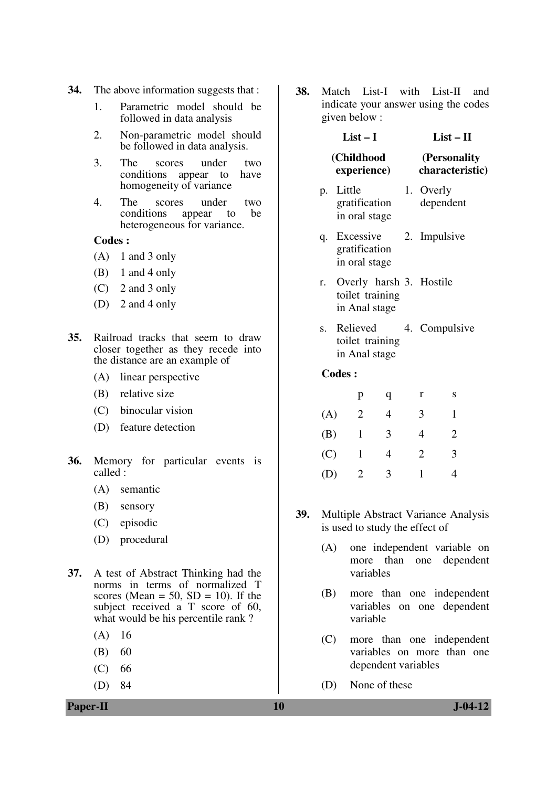- **34.** The above information suggests that :
	- 1. Parametric model should be followed in data analysis
	- 2. Non-parametric model should be followed in data analysis.
	- 3. The scores under two conditions appear to have homogeneity of variance
	- 4. The scores under two<br>conditions appear to be appear to be heterogeneous for variance.

#### **Codes :**

- $(A)$  1 and 3 only
- $(B)$  1 and 4 only
- (C) 2 and 3 only
- (D) 2 and 4 only
- **35.** Railroad tracks that seem to draw closer together as they recede into the distance are an example of
	- (A) linear perspective
	- (B) relative size
	- (C) binocular vision
	- (D) feature detection
- **36.** Memory for particular events is called :
	- (A) semantic
	- (B) sensory
	- (C) episodic
	- (D) procedural
- **37.** A test of Abstract Thinking had the norms in terms of normalized T scores (Mean  $= 50$ , SD  $= 10$ ). If the subject received a T score of 60, what would be his percentile rank?
	- (A) 16
	- $(B) 60$
	- $(C) 66$
	- (D) 84

**38.** Match List-I with List-II and indicate your answer using the codes given below :

**List – I** 

#### **List – II**

| (Personality)   |
|-----------------|
| characteristic) |
|                 |

- p. Little gratification in oral stage 1. Overly dependent
- q. Excessive gratification in oral stage 2. Impulsive
- r. Overly harsh 3. Hostile toilet training in Anal stage
- s. Relieved toilet training in Anal stage 4. Compulsive

#### **Codes :**

|     | р | q | r | S |
|-----|---|---|---|---|
| (A) | 2 | 4 | 3 |   |
| (B) | 1 | 3 | 4 | 2 |
| (C) | 1 | 4 | 2 | 3 |
| (D) | 2 | 3 |   |   |

- **39.** Multiple Abstract Variance Analysis is used to study the effect of
	- (A) one independent variable on more than one dependent variables
	- (B) more than one independent variables on one dependent variable
	- (C) more than one independent variables on more than one dependent variables
	- (D) None of these

**Paper-II 10 J-04-12**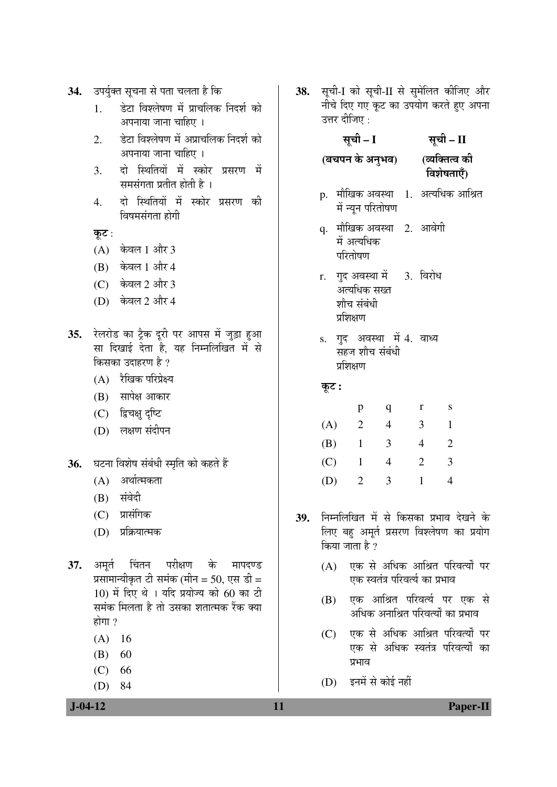- 34. उपर्युक्त सूचना से पता चलता है कि
	- 1. ›êü™üÖ ×¾Ö¿»ÖêÂÖÞÖ ´Öë ¯ÖÏÖ"Ö×»ÖÛú ×®Ö¤ü¿ÖÔ ÛúÖê अपनाया जाना चाहिए ।
	- 2. हेटा विश्लेषण में अप्राचलिक निदर्श को अपनाया जाना चाहिए ।
	- 3. दो स्थितियों में स्कोर प्रसरण में समसंगता प्रतीत होती है)।
	- 4. दो स्थितियों में स्कोर प्रसरण की विषमसंगता होगी

कूट:

- $(A)$  केवल 1 और 3
- $(B)$  केवल 1 और 4
- $(C)$  केवल 2 और 3
- (D) केवल 2 और 4
- 35. रेलरोड का ट्रैक दूरी पर आपस में जुड़ा हुआ सा दिखाई देता है, यह निम्नलिखित में से किसका उदाहरण है ?
	- (A) रैखिक परिप्रेक्ष्य
	- $(B)$  सापेक्ष आकार
	- (C) द्विचक्षु दृष्टि
	- (D) लक्षण संदीपन
- 36. घटना विशेष संबंधी स्मृति को कहते हैं
	- (A) अर्थात्मकता
	- (B) संवेदी
	- (C) प्रासंगिक
	- (D) प्रक्रियात्मक
- **37.** अमृर्त चिंतन परीक्षण के मापदण्ड प्रसामान्यीकृत टी समंक (मीन = 50, एस डी =  $10$ ) में दिए थे । यदि प्रयोज्य को 60 का टी समंक मिलता है तो उसका शतात्मक रैंक क्या होगा $\gamma$ 
	- (A) 16
	- $(B) 60$
	- $(C) 66$
	- (D) 84

38. सूची-I को सूची-II से सुमेलित कीजिए और नीचे दिए गए कूट का उपयोग करते हुए अपना उत्तर दीजिए :

सूची – I

**(**²Ö"Ö¯Ö®Ö Ûêú †®Öã³Ö¾Ö**)** (व्यक्तित्व की विशेषताएँ)

सूची – II

- p. मौखिक अवस्था 1. अत्यधिक आश्रित में न्यून परितोषण
- q. मौखिक अवस्था 2. आवेगी में अत्यधिक परितोषण
- r. गुद अवस्था में अत्यधिक सख्त शौच संबंधी प्रशिक्षण 3. विरोध
- s. गुद अवस्था में 4. वाध्य सहज शौच संबंधी प्रशिक्षण

## Ûæú™ü **:**

|     | р | ч | r | S |
|-----|---|---|---|---|
| (A) | 2 |   | 3 |   |
| (B) |   | 3 | 4 | 2 |
| (C) | 1 |   | 2 | 3 |
| (D) | 2 | 3 |   |   |

- **39.** निम्नलिखित में से किसका प्रभाव देखने के लिए बहु अमूर्त प्रसरण विश्लेषण का प्रयोग किया जाता है ?
	- (A) एक से अधिक आश्रित परिवर्त्यों पर एक स्वतंत्र परिवर्त्य का प्रभाव
	- (B) एक आश्रित परिवर्त्य पर एक से अधिक अनाश्रित परिवर्त्यों का प्रभाव
	- (C) एक से अधिक आश्रित परिवर्त्यों पर एक से अधिक स्वतंत्र परिवर्त्यों का ਹभाव
	- (D) इनमें से कोई नहीं

### **J-04-12 11 Paper-II**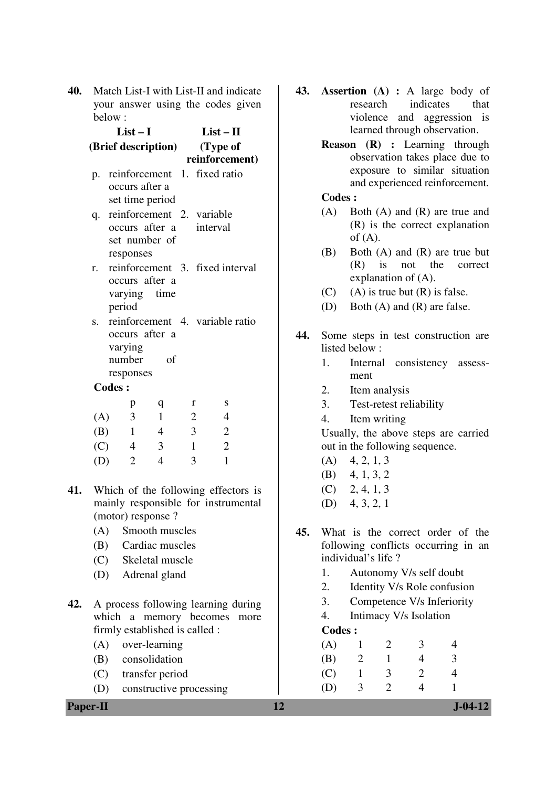| 40. |               |                     |                                 |                                | Match List-I with List-II and indicate | 43. |               |                    |                |                                   | <b>Assertion</b> (A) : A large body of                              |
|-----|---------------|---------------------|---------------------------------|--------------------------------|----------------------------------------|-----|---------------|--------------------|----------------|-----------------------------------|---------------------------------------------------------------------|
|     | below:        |                     |                                 |                                | your answer using the codes given      |     |               | research           |                | indicates                         | that<br>violence and aggression is                                  |
|     |               | $List-I$            |                                 |                                | $List - II$                            |     |               |                    |                |                                   | learned through observation.                                        |
|     |               |                     | (Brief description)             |                                | (Type of<br>reinforcement)             |     |               |                    |                |                                   | Reason (R) : Learning through<br>observation takes place due to     |
|     |               | occurs after a      |                                 |                                | p. reinforcement 1. fixed ratio        |     |               |                    |                |                                   | exposure to similar situation<br>and experienced reinforcement.     |
|     |               |                     | set time period                 |                                |                                        |     | <b>Codes:</b> |                    |                |                                   |                                                                     |
|     | q.            |                     | occurs after a<br>set number of | reinforcement 2. variable      | interval                               |     | (A)           | of $(A)$ .         |                |                                   | Both $(A)$ and $(R)$ are true and<br>(R) is the correct explanation |
|     | r.            | responses           | occurs after a                  |                                | reinforcement 3. fixed interval        |     | (B)           | (R)                | is             | not the<br>explanation of $(A)$ . | Both $(A)$ and $(R)$ are true but<br>correct                        |
|     |               | varying             | time                            |                                |                                        |     | (C)           |                    |                | $(A)$ is true but $(R)$ is false. |                                                                     |
|     |               | period              |                                 |                                |                                        |     | (D)           |                    |                |                                   | Both $(A)$ and $(R)$ are false.                                     |
|     | S.            |                     |                                 |                                | reinforcement 4. variable ratio        |     |               |                    |                |                                   |                                                                     |
|     |               | varying             | occurs after a                  |                                |                                        | 44. |               | listed below:      |                |                                   | Some steps in test construction are                                 |
|     |               | number<br>responses | of                              |                                |                                        |     | 1.            | Internal<br>ment   |                | consistency                       | assess-                                                             |
|     | <b>Codes:</b> |                     |                                 |                                |                                        |     | 2.            |                    | Item analysis  |                                   |                                                                     |
|     |               | p                   | $\mathbf{q}$                    | r                              | S                                      |     | 3.            |                    |                | Test-retest reliability           |                                                                     |
|     | (A)           | $\mathfrak{Z}$      | $\mathbf{1}$                    | $\overline{2}$                 | 4                                      |     | 4.            |                    | Item writing   |                                   |                                                                     |
|     | (B)           | $\mathbf{1}$        | $\overline{4}$                  | 3                              | $\overline{2}$                         |     |               |                    |                |                                   | Usually, the above steps are carried                                |
|     | (C)           | $\overline{4}$      | 3                               | $\mathbf{1}$                   | $\mathbf{2}$                           |     |               |                    |                | out in the following sequence.    |                                                                     |
|     | (D)           | 2                   | $\overline{4}$                  | 3                              | $\mathbf{1}$                           |     | (A)           | 4, 2, 1, 3         |                |                                   |                                                                     |
|     |               |                     |                                 |                                |                                        |     | (B)           | 4, 1, 3, 2         |                |                                   |                                                                     |
| 41. |               |                     |                                 |                                | Which of the following effectors is    |     |               | $(C)$ 2, 4, 1, 3   |                |                                   |                                                                     |
|     |               |                     | (motor) response ?              |                                | mainly responsible for instrumental    |     |               | $(D)$ 4, 3, 2, 1   |                |                                   |                                                                     |
|     | (A)           |                     | Smooth muscles                  |                                |                                        | 45. |               |                    |                |                                   | What is the correct order of the                                    |
|     | (B)           |                     | Cardiac muscles                 |                                |                                        |     |               |                    |                |                                   | following conflicts occurring in an                                 |
|     | (C)           |                     | Skeletal muscle                 |                                |                                        |     |               | individual's life? |                |                                   |                                                                     |
|     | (D)           |                     | Adrenal gland                   |                                |                                        |     | 1.            |                    |                | Autonomy V/s self doubt           |                                                                     |
|     |               |                     |                                 |                                |                                        |     | 2.            |                    |                |                                   | Identity V/s Role confusion                                         |
| 42. |               |                     |                                 |                                | A process following learning during    |     | 3.            |                    |                |                                   | Competence V/s Inferiority                                          |
|     |               |                     |                                 |                                | which a memory becomes more            |     | 4.            |                    |                | Intimacy V/s Isolation            |                                                                     |
|     |               |                     |                                 | firmly established is called : |                                        |     | Codes :       |                    |                |                                   |                                                                     |
|     | (A)           |                     | over-learning                   |                                |                                        |     | (A)           | $\mathbf{1}$       | 2              | 3                                 | 4                                                                   |
|     | (B)           |                     | consolidation                   |                                |                                        |     | (B)           | $\overline{2}$     | 1              | $\overline{4}$                    | 3                                                                   |
|     | (C)           |                     | transfer period                 |                                |                                        |     | (C)           | $\mathbf{1}$       | $\mathfrak{Z}$ | $\overline{2}$                    | $\overline{4}$                                                      |
|     | (D)           |                     |                                 | constructive processing        |                                        |     | (D)           | 3                  | $\overline{2}$ | $\overline{4}$                    | $\mathbf{1}$                                                        |
|     | Paper-II      |                     |                                 |                                |                                        | 12  |               |                    |                |                                   | $J - 04 - 12$                                                       |

- **43. Assertion (A) :** A large body of research indicates that violence and aggression is learned through observation.
	- **Reason (R) :** Learning through observation takes place due to exposure to similar situation and experienced reinforcement.

## **Codes :**

- (A) Both (A) and (R) are true and (R) is the correct explanation of  $(A)$ .
- (B) Both (A) and (R) are true but (R) is not the correct explanation of (A).
- (C) (A) is true but  $(R)$  is false.
- (D) Both (A) and (R) are false.
- **44.** Some steps in test construction are listed below :
	- 1. Internal consistency assessment
	- 2. Item analysis
	- 3. Test-retest reliability
	- 4. Item writing

- $(A)$  4, 2, 1, 3
- (B) 4, 1, 3, 2
- $(C)$  2, 4, 1, 3
- (D) 4, 3, 2, 1
- **45.** What is the correct order of the following conflicts occurring in an individual's life ?
	- 1. Autonomy V/s self doubt
	- 2. Identity V/s Role confusion
	- 3. Competence V/s Inferiority
	- 4. Intimacy V/s Isolation

## **Codes :**

| (A) |   | 2 | 3 |               |
|-----|---|---|---|---------------|
| (B) | 2 |   | 4 | $\mathcal{F}$ |
| (C) |   | 3 | 2 |               |
| (D) | 3 | 2 |   |               |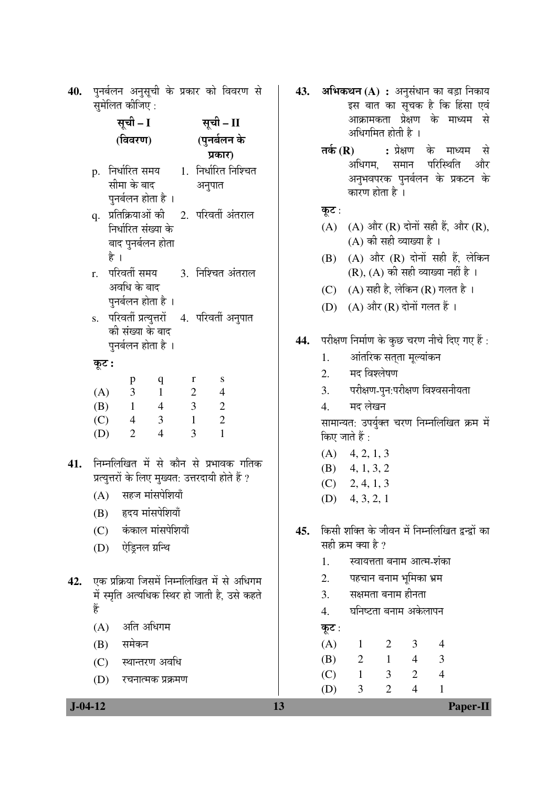| 40.  पुनर्बलन अनुसूची के प्रकार को विवरण से |  |  |  |
|---------------------------------------------|--|--|--|
| सुमेलित कीजिए :                             |  |  |  |

|     |       | सूची – I          |                                                                  |                         |                          | सूची – II           |  |
|-----|-------|-------------------|------------------------------------------------------------------|-------------------------|--------------------------|---------------------|--|
|     |       | (विवरण)           |                                                                  |                         |                          | (पुनर्बलन के        |  |
|     |       |                   |                                                                  |                         |                          | प्रकार)             |  |
|     |       |                   | p. निर्धारित समय 1. निर्धारित निश्चित                            |                         |                          |                     |  |
|     |       | सीमा के बाद       |                                                                  |                         | अनुपात                   |                     |  |
|     |       |                   | पुनर्बलन होता है ।                                               |                         |                          |                     |  |
|     |       |                   | q.   प्रतिक्रियाओं की                                            |                         |                          | 2. परिवर्ती अंतराल  |  |
|     |       |                   | निर्धारित संख्या के                                              |                         |                          |                     |  |
|     |       |                   | बाद पुनर्बलन होता                                                |                         |                          |                     |  |
|     |       | है ।              |                                                                  |                         |                          |                     |  |
|     |       | r.   परिवर्ती समय |                                                                  |                         |                          | 3. निश्चित अंतराल   |  |
|     |       | अवधि के बाद       |                                                                  |                         |                          |                     |  |
|     |       |                   | पुनर्बलन होता है ।                                               |                         |                          |                     |  |
|     |       |                   | s. परिवर्ती प्रत्युत्तरों 4. परिवर्ती अनुपात<br>की संख्या के बाद |                         |                          |                     |  |
|     |       |                   | पुनर्बलन होता है ।                                               |                         |                          |                     |  |
|     |       |                   |                                                                  |                         |                          |                     |  |
|     | कूट : |                   |                                                                  |                         |                          |                     |  |
|     |       | p<br>(A) 3        | q<br>$\begin{array}{cc} 1 \end{array}$                           | 2                       | r                        | S<br>$\overline{4}$ |  |
|     |       | $(B)$ 1           | $\overline{4}$                                                   | $\overline{\mathbf{3}}$ |                          | $\overline{c}$      |  |
|     |       | $(C)$ 4           | $\overline{\mathbf{3}}$                                          | $\overline{1}$          | $\overline{\phantom{a}}$ |                     |  |
|     | (D)   | $\overline{2}$    | $\overline{4}$                                                   |                         | $\overline{3}$           | $\mathbf{1}$        |  |
|     |       |                   |                                                                  |                         |                          |                     |  |
| 41. |       |                   | निम्नलिखित में से कौन से प्रभावक गतिक                            |                         |                          |                     |  |
|     |       |                   | प्रत्युत्तरों के लिए मुख्यत: उत्तरदायी होते हैं ?                |                         |                          |                     |  |
|     |       |                   | (A) सहज मांसपेशियाँ                                              |                         |                          |                     |  |
|     |       |                   | (B) हृदय मांसपेशियाँ                                             |                         |                          |                     |  |
|     |       |                   | (C) कंकाल मांसपेशियाँ                                            |                         |                          |                     |  |
|     |       |                   | (D) ऐड्रिनल ग्रन्थि                                              |                         |                          |                     |  |
|     |       |                   |                                                                  |                         |                          |                     |  |
| 42. |       |                   | एक प्रक्रिया जिसमें निम्नलिखित में से अधिगम                      |                         |                          |                     |  |
|     | हैं   |                   | में स्मृति अत्यधिक स्थिर हो जाती है, उसे कहते                    |                         |                          |                     |  |
|     |       |                   |                                                                  |                         |                          |                     |  |
|     |       | (A)               | अति अधिगम                                                        |                         |                          |                     |  |

- $(B)$  समेकन
- (C) स्थान्तरण अवधि
- (D) रचनात्मक प्रक्रमण

43. अभिकथन (A) : अनुसंधान का बड़ा निकाय इस बात का सूचक है कि हिंसा एवं आक्रामकता प्रेक्षण के माध्यम से अधिगमित होती है ।

> **तर्क (R) : प्रे**क्षण के माध्यम से अधिगम. समान परिस्थिति और अनुभवपरक पुनर्बलन के प्रकटन के कारण होता है ।

# कूट :

- (A)  $(A)$  और  $(R)$  दोनों सही हैं, और  $(R)$ ,  $(A)$  की सही व्याख्या है।
- $(B)$   $(A)$  और  $(R)$  दोनों सही हैं, लेकिन  $(R)$ ,  $(A)$  की सही व्याख्या नहीं है।
- (C)  $(A)$  सही है, लेकिन (R) गलत है।
- $(D)$   $(A)$  और  $(R)$  दोनों गलत हैं।
- 44. परीक्षण निर्माण के कुछ चरण नीचे दिए गए हैं:
	- 1. आंतरिक सत्**ता मूल्यांकन**
	- 2. मद विश्लेषण
	- 3. परीक्षण-पुन:परीक्षण विश्वसनीयता
	- 4. मदलेखन

सामान्यत: उपर्युक्त चरण निम्नलिखित क्रम में किए जाते हैं :

- $(A)$  4, 2, 1, 3
- (B) 4, 1, 3, 2
- $(C)$  2, 4, 1, 3
- (D) 4, 3, 2, 1
- 45. किसी शक्ति के जीवन में निम्नलिखित द्वन्द्वों का सही क्रम क्या है ?
	- 1. स्वायत्तता बनाम आत्म-शंका
	- 2. पहचान बनाम भूमिका भ्रम
	- 3. सक्षमता बनाम हीनता
	- 4. घनिष्टता बनाम अकेलापन
	- $\phi$ ट:

 (A) 1 2 3 4 (B) 2 1 4 3 (C) 1 3 2 4

(D) 3 2 4 1

 **J-04-12 13 Paper-II**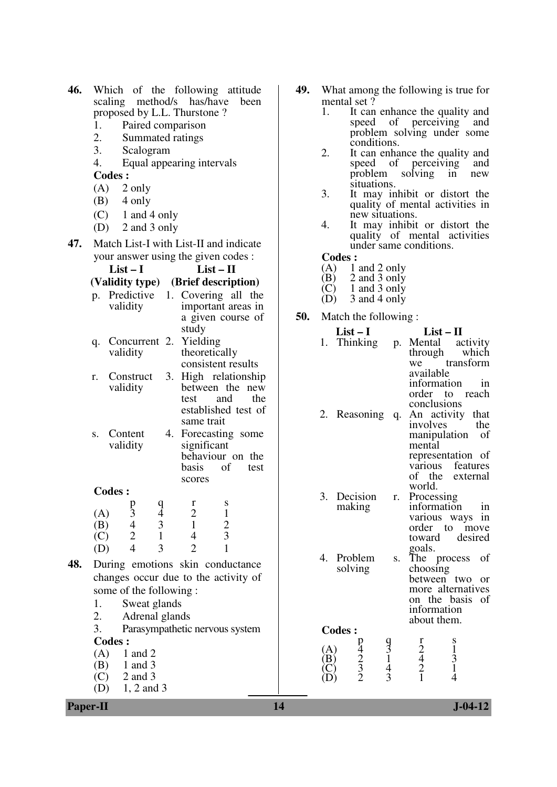| 46. | Which of the following attitude                                          | 49. | What among the following is true for                                                                                        |
|-----|--------------------------------------------------------------------------|-----|-----------------------------------------------------------------------------------------------------------------------------|
|     | scaling method/s has/have<br>been<br>proposed by L.L. Thurstone?         |     | mental set?<br>1.<br>It can enhance the quality and                                                                         |
|     | Paired comparison<br>1.                                                  |     | speed<br>of perceiving<br>and                                                                                               |
|     | 2.<br>Summated ratings                                                   |     | problem solving under some                                                                                                  |
|     | 3.<br>Scalogram                                                          |     | conditions.                                                                                                                 |
|     | 4.<br>Equal appearing intervals                                          |     | 2.<br>It can enhance the quality and<br>of perceiving<br>speed                                                              |
|     | <b>Codes:</b>                                                            |     | and<br>problem<br>solving<br>in<br>new                                                                                      |
|     | 2 only                                                                   |     | situations.                                                                                                                 |
|     | (A)                                                                      |     | 3.<br>It may inhibit or distort the                                                                                         |
|     | 4 only<br>(B)                                                            |     | quality of mental activities in                                                                                             |
|     | (C)<br>1 and 4 only                                                      |     | new situations.<br>4.<br>It may inhibit or distort the                                                                      |
|     | 2 and 3 only<br>(D)                                                      |     | quality of mental activities                                                                                                |
| 47. | Match List-I with List-II and indicate                                   |     | under same conditions.                                                                                                      |
|     | your answer using the given codes :                                      |     | <b>Codes:</b>                                                                                                               |
|     | $List-I$<br>$List - II$                                                  |     | 1 and 2 only<br>(A)                                                                                                         |
|     | (Brief description)<br>(Validity type)                                   |     | 2 and 3 only<br>(B)<br>$(C)$ 1 and 3 only                                                                                   |
|     | p. Predictive 1. Covering all the                                        |     | 3 and 4 only<br>(D)                                                                                                         |
|     | validity<br>important areas in                                           |     |                                                                                                                             |
|     | a given course of                                                        | 50. | Match the following:                                                                                                        |
|     | study                                                                    |     | $List-I$<br>$List - II$                                                                                                     |
|     | Concurrent 2. Yielding<br>q.<br>theoretically<br>validity                |     | 1. Thinking<br>p. Mental<br>activity                                                                                        |
|     | consistent results                                                       |     | through<br>which<br>transform<br>we                                                                                         |
|     | 3. High relationship<br>Construct<br>r.                                  |     | available                                                                                                                   |
|     | validity<br>between the new                                              |     | information<br>in                                                                                                           |
|     | and<br>the<br>test                                                       |     | order to<br>reach                                                                                                           |
|     | established test of                                                      |     | conclusions<br>2. Reasoning q. An activity that                                                                             |
|     | same trait                                                               |     | involves<br>the                                                                                                             |
|     | Content<br>4. Forecasting some<br>S.                                     |     | manipulation<br>- of                                                                                                        |
|     | validity<br>significant                                                  |     | mental                                                                                                                      |
|     | behaviour on the                                                         |     | representation of<br>features<br>various                                                                                    |
|     | basis<br>of<br>test<br>scores                                            |     | of the<br>external                                                                                                          |
|     | <b>Codes:</b>                                                            |     | world.                                                                                                                      |
|     | p<br>q<br>$\mathbf{r}$<br>$\mathbf S$                                    |     | 3. Decision<br>r. Processing                                                                                                |
|     | $\overline{3}$<br>$\mathbf{2}$<br>$\mathbf{1}$<br>(A)<br>$\overline{4}$  |     | in<br>information<br>making                                                                                                 |
|     | $\overline{4}$<br>$\overline{3}$<br>$\frac{2}{3}$<br>$\mathbf{1}$<br>(B) |     | various ways in<br>order to<br>move                                                                                         |
|     | $\mathbf{1}$<br>$\overline{2}$<br>$\overline{4}$<br>(C)                  |     | toward<br>desired                                                                                                           |
|     | 3<br>$\overline{4}$<br>$\overline{2}$<br>(D)                             |     | goals.                                                                                                                      |
| 48. | During emotions skin conductance                                         |     | 4. Problem<br>The process<br>of<br>S.                                                                                       |
|     | changes occur due to the activity of                                     |     | solving<br>choosing<br>between two or                                                                                       |
|     | some of the following:                                                   |     | more alternatives                                                                                                           |
|     | Sweat glands<br>1.                                                       |     | on the basis of                                                                                                             |
|     | 2.<br>Adrenal glands                                                     |     | information                                                                                                                 |
|     | 3.<br>Parasympathetic nervous system                                     |     | about them.<br><b>Codes:</b>                                                                                                |
|     | <b>Codes:</b>                                                            |     | r                                                                                                                           |
|     | 1 and $2$<br>(A)                                                         |     | (A)                                                                                                                         |
|     | 1 and 3<br>(B)                                                           |     | $\frac{931}{43}$<br>$^{14}_{2}$<br>$^{2}_{3}$<br>$^{2}_{2}$<br>$\frac{1}{3}$<br>$\frac{2}{4}$<br>$\frac{2}{1}$<br>(B)<br>C) |
|     | 2 and 3<br>(C)                                                           |     | $\overline{4}$<br>D)                                                                                                        |
|     | (D)<br>$1, 2$ and 3                                                      |     |                                                                                                                             |
|     | <b>Paper-II</b>                                                          | 14  | $J - 04 - 12$                                                                                                               |
|     |                                                                          |     |                                                                                                                             |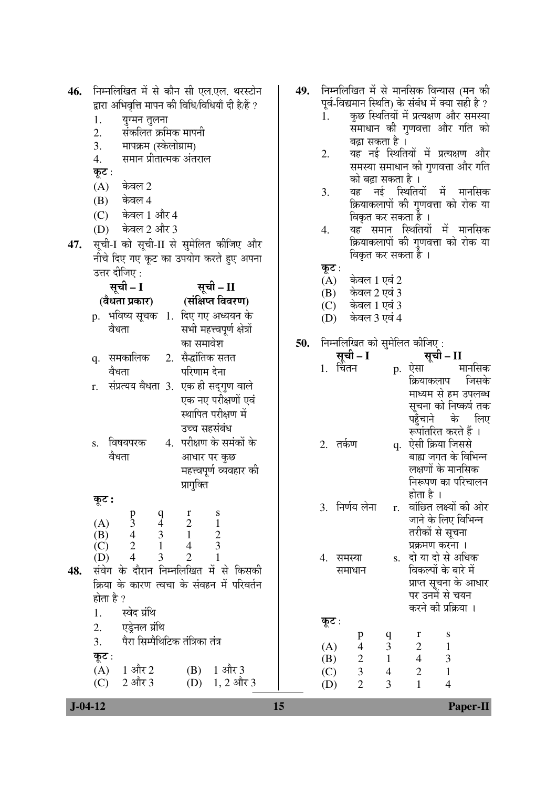| 46.           | निम्नलिखित में से कौन सी एल.एल. थरस्टोन                                             | 49. | निम्नलिखित में से मानसिक विन्यास (मन की                                                                            |
|---------------|-------------------------------------------------------------------------------------|-----|--------------------------------------------------------------------------------------------------------------------|
|               | द्वारा अभिवृत्ति मापन की विधि/विधियाँ दी है/हैं ?                                   |     | पूर्व-विद्यमान स्थिति) के संबंध में क्या सही है ?                                                                  |
|               | 1.<br>युग्मन तुलना                                                                  |     | कुछ स्थितियों में प्रत्यक्षण और समस्या<br>1.<br>समाधान की गुणवत्ता और गति को                                       |
|               | संकलित क्रमिक मापनी<br>2.                                                           |     | बढ़ा सकता है ।                                                                                                     |
|               | 3.<br>मापक्रम (स्केलोग्राम)                                                         |     | यह नई स्थितियों में प्रत्यक्षण और<br>2.                                                                            |
|               | समान प्रीतात्मक अंतराल<br>4.                                                        |     | समस्या समाधान की गुणवत्ता और गति                                                                                   |
|               | कूट :<br>केवल 2                                                                     |     | को बढ़ा सकता है ।                                                                                                  |
|               | (A)<br>केवल 4                                                                       |     | यह नई स्थितियों में मानसिक<br>3.                                                                                   |
|               | (B)<br>केवल 1 और 4<br>(C)                                                           |     | क्रियाकलापों की गुणवत्ता को रोक या                                                                                 |
|               | केवल 2 और 3<br>(D)                                                                  |     | विकृत कर सकता है ।<br>यह समान स्थितियों में मानसिक<br>4.                                                           |
| 47.           | सूची-I को सूची-II से सुमेलित कीजिए और                                               |     | क्रियाकलापों की गुणवत्ता को रोक या                                                                                 |
|               | नीचे दिए गए कूट का उपयोग करते हुए अपना                                              |     | विकृत कर सकता है ।                                                                                                 |
|               | उत्तर दीजिए :                                                                       |     | कूट :                                                                                                              |
|               | सूची – I<br>्सूची – II                                                              |     | केवल 1 एवं 2<br>(A)                                                                                                |
|               | (वैधता प्रकार) (संक्षिप्त विवरण)                                                    |     | केवल 2 एवं 3<br>(B)                                                                                                |
|               | p.  भविष्य सूचक   1.  दिए गए अध्ययन के                                              |     | केवल 1 एवं 3<br>(C)<br>केवल 3 एवं 4<br>(D)                                                                         |
|               | सभी महत्त्वपूर्ण क्षेत्रों<br>वैधता                                                 |     |                                                                                                                    |
|               | का समावेश                                                                           | 50. | निम्नलिखित को सुमेलित कीजिए:                                                                                       |
|               | 2. सैद्धांतिक सतत<br>q. समकालिक                                                     |     | सूची - I<br>सूची – II                                                                                              |
|               | परिणाम देना<br>वेधता                                                                |     | मार्नासक<br>1. चितन<br>p. एंसा                                                                                     |
|               | संप्रत्यय वैधता 3. एक ही सद्गुण वाले<br>r.                                          |     | जिसके<br>क्रियाकलाप                                                                                                |
|               | एक नए परीक्षणों एवं                                                                 |     | माध्यम से हम उपलब्ध<br>सूचना को निष्कर्ष तक                                                                        |
|               | स्थापित परीक्षण में                                                                 |     | के<br>लिए<br>पहुँचाने                                                                                              |
|               | उच्च सहसंबंध                                                                        |     | रूपांतरित करते हैं ।                                                                                               |
|               | 4. परीक्षण के समंकों के<br>विषयपरक<br>S.                                            |     | 2. तर्कण<br>q. ऐसी क्रिया जिससे                                                                                    |
|               | वैधता<br>आधार पर कुछ                                                                |     | बाह्य जगत के विभिन्न                                                                                               |
|               | महत्त्वपूर्ण व्यवहार की                                                             |     | लक्षणों के मानसिक                                                                                                  |
|               | प्रागुक्ति                                                                          |     | निरूपण का परिचालन<br>होता है ।                                                                                     |
|               | कूट :                                                                               |     | वांछित लक्ष्यों की ओर<br>3. निर्णय लेना<br>r.                                                                      |
|               | S<br>$\frac{p}{3}$<br>(A)                                                           |     | जाने के लिए विभिन्न                                                                                                |
|               | $\begin{array}{c} r \\ 2 \\ 1 \end{array}$<br>$\frac{1}{2}$<br>$\frac{4}{2}$<br>(B) |     | तरीकों से सूचना                                                                                                    |
|               | $\begin{bmatrix} 9 \\ 4 \\ 3 \\ 1 \\ 3 \end{bmatrix}$<br>$\overline{4}$<br>(C)      |     | प्रक्रमण करना ।                                                                                                    |
|               | $\overline{4}$<br>$\overline{2}$<br>(D)<br>संवेग के दौरान निम्नलिखित में से किसकी   |     | s. दो या दो से अधिक<br>4. समस्या<br>विकल्पों के बारे में                                                           |
| 48.           | क्रिया के कारण त्वचा के संवहन में परिवर्तन                                          |     | समाधान<br>प्राप्त सूचना के आधार                                                                                    |
|               | होता है ?                                                                           |     | पर उनमें से चयन                                                                                                    |
|               | स्वेद ग्रंथि<br>1.                                                                  |     | करने की प्रक्रिया ।                                                                                                |
|               | एड्रेनल ग्रंथि<br>2.                                                                |     | कूट :                                                                                                              |
|               | पैरा सिम्पैथिटिक तंत्रिका तंत्र<br>3.                                               |     | $\mathbf q$<br>r<br>S<br>p                                                                                         |
|               | कूट :                                                                               |     | 3 <sup>7</sup><br>(A)<br>$\overline{4}$<br>$\overline{2}$<br>$\mathbf{1}$<br>$\mathfrak{Z}$<br>$\overline{4}$<br>1 |
|               | 1 और $3$<br>(A)<br>$1 \overline{\text{ and }} 2$<br>(B)                             |     | $\overline{c}$<br>(B)<br>$\mathfrak{Z}$<br>$\sqrt{2}$<br>$\mathbf{1}$<br>$\overline{4}$<br>(C)                     |
|               | $2$ और $3$<br>$1, 2$ और 3<br>(C)<br>(D)                                             |     | $\overline{2}$<br>3<br>$\mathbf{1}$<br>$\overline{4}$<br>(D)                                                       |
| $J - 04 - 12$ |                                                                                     | 15  | <b>Paper-II</b>                                                                                                    |
|               |                                                                                     |     |                                                                                                                    |